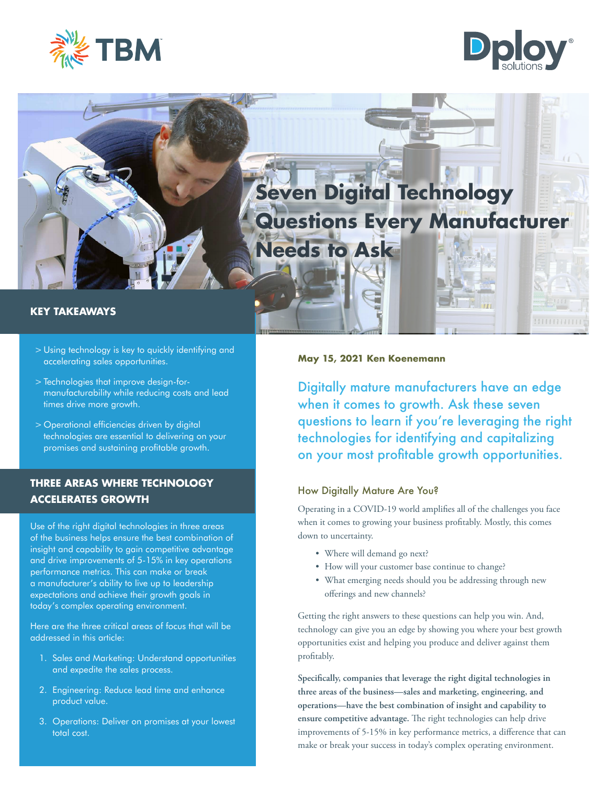





- > Using technology is key to quickly identifying and accelerating sales opportunities.
- > Technologies that improve design-formanufacturability while reducing costs and lead times drive more growth.
- > Operational efficiencies driven by digital technologies are essential to delivering on your promises and sustaining profitable growth.

# **THREE AREAS WHERE TECHNOLOGY ACCELERATES GROWTH**

Use of the right digital technologies in three areas of the business helps ensure the best combination of insight and capability to gain competitive advantage and drive improvements of 5-15% in key operations performance metrics. This can make or break a manufacturer's ability to live up to leadership expectations and achieve their growth goals in today's complex operating environment.

Here are the three critical areas of focus that will be addressed in this article:

- 1. Sales and Marketing: Understand opportunities and expedite the sales process.
- 2. Engineering: Reduce lead time and enhance product value.
- 3. Operations: Deliver on promises at your lowest total cost.

## **May 15, 2021 Ken Koenemann**

Digitally mature manufacturers have an edge when it comes to growth. Ask these seven questions to learn if you're leveraging the right technologies for identifying and capitalizing on your most profitable growth opportunities.

# How Digitally Mature Are You?

Operating in a COVID-19 world amplifies all of the challenges you face when it comes to growing your business profitably. Mostly, this comes down to uncertainty.

- Where will demand go next?
- How will your customer base continue to change?
- What emerging needs should you be addressing through new offerings and new channels?

Getting the right answers to these questions can help you win. And, technology can give you an edge by showing you where your best growth opportunities exist and helping you produce and deliver against them profitably.

**Specifically, companies that leverage the right digital technologies in three areas of the business—sales and marketing, engineering, and operations—have the best combination of insight and capability to ensure competitive advantage.** The right technologies can help drive improvements of 5-15% in key performance metrics, a difference that can make or break your success in today's complex operating environment.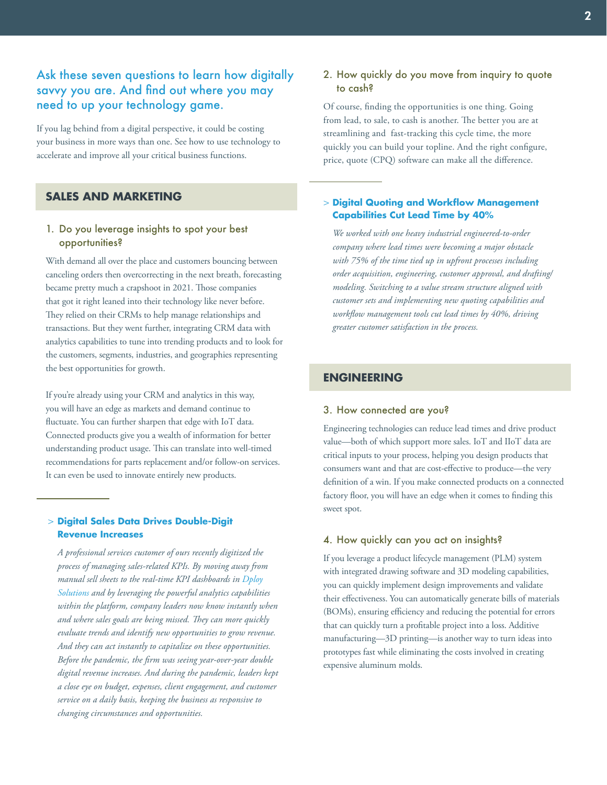# Ask these seven questions to learn how digitally savvy you are. And find out where you may need to up your technology game.

If you lag behind from a digital perspective, it could be costing your business in more ways than one. See how to use technology to accelerate and improve all your critical business functions.

# **SALES AND MARKETING**

### 1. Do you leverage insights to spot your best opportunities?

With demand all over the place and customers bouncing between canceling orders then overcorrecting in the next breath, forecasting became pretty much a crapshoot in 2021. Those companies that got it right leaned into their technology like never before. They relied on their CRMs to help manage relationships and transactions. But they went further, integrating CRM data with analytics capabilities to tune into trending products and to look for the customers, segments, industries, and geographies representing the best opportunities for growth.

If you're already using your CRM and analytics in this way, you will have an edge as markets and demand continue to fluctuate. You can further sharpen that edge with IoT data. Connected products give you a wealth of information for better understanding product usage. This can translate into well-timed recommendations for parts replacement and/or follow-on services. It can even be used to innovate entirely new products.

#### **Digital Sales Data Drives Double-Digit**  > **Revenue Increases**

*A professional services customer of ours recently digitized the process of managing sales-related KPIs. By moving away from manual sell sheets to the real-time KPI dashboards in [Dploy](https://www.dploysolutions.com/)  [Solutions](https://www.dploysolutions.com/) and by leveraging the powerful analytics capabilities within the platform, company leaders now know instantly when and where sales goals are being missed. They can more quickly evaluate trends and identify new opportunities to grow revenue. And they can act instantly to capitalize on these opportunities. Before the pandemic, the firm was seeing year-over-year double digital revenue increases. And during the pandemic, leaders kept a close eye on budget, expenses, client engagement, and customer service on a daily basis, keeping the business as responsive to changing circumstances and opportunities.* 

### 2. How quickly do you move from inquiry to quote to cash?

Of course, finding the opportunities is one thing. Going from lead, to sale, to cash is another. The better you are at streamlining and fast-tracking this cycle time, the more quickly you can build your topline. And the right configure, price, quote (CPQ) software can make all the difference.

#### **Digital Quoting and Workflow Management**  > **Capabilities Cut Lead Time by 40%**

*We worked with one heavy industrial engineered-to-order company where lead times were becoming a major obstacle with 75% of the time tied up in upfront processes including order acquisition, engineering, customer approval, and drafting/ modeling. Switching to a value stream structure aligned with customer sets and implementing new quoting capabilities and workflow management tools cut lead times by 40%, driving greater customer satisfaction in the process.*

# **ENGINEERING**

#### 3. How connected are you?

Engineering technologies can reduce lead times and drive product value—both of which support more sales. IoT and IIoT data are critical inputs to your process, helping you design products that consumers want and that are cost-effective to produce—the very definition of a win. If you make connected products on a connected factory floor, you will have an edge when it comes to finding this sweet spot.

#### 4. How quickly can you act on insights?

If you leverage a product lifecycle management (PLM) system with integrated drawing software and 3D modeling capabilities, you can quickly implement design improvements and validate their effectiveness. You can automatically generate bills of materials (BOMs), ensuring efficiency and reducing the potential for errors that can quickly turn a profitable project into a loss. Additive manufacturing—3D printing—is another way to turn ideas into prototypes fast while eliminating the costs involved in creating expensive aluminum molds.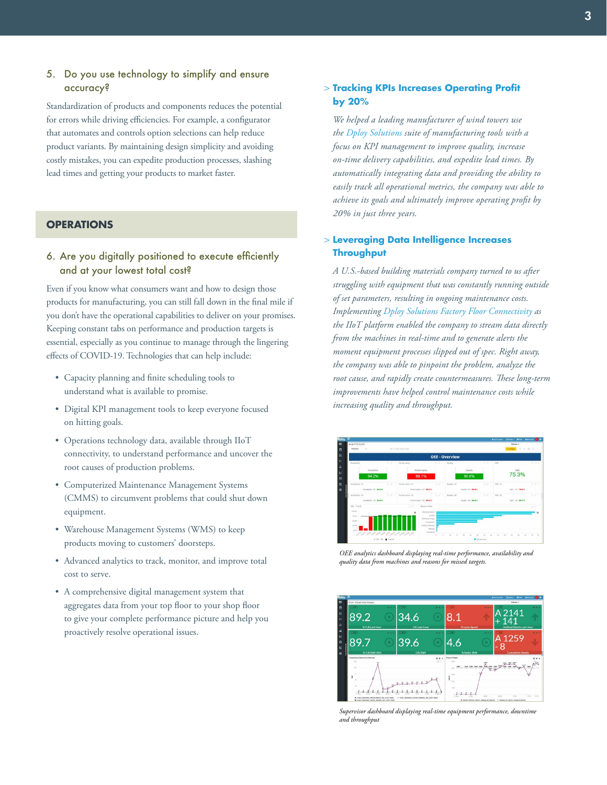# 5. Do you use technology to simplify and ensure accuracy?

Standardization of products and components reduces the potential for errors while driving efficiencies. For example, a configurator that automates and controls option selections can help reduce product variants. By maintaining design simplicity and avoiding costly mistakes, you can expedite production processes, slashing lead times and getting your products to market faster.

## **OPERATIONS**

# 6. Are you digitally positioned to execute efficiently and at your lowest total cost?

Even if you know what consumers want and how to design those products for manufacturing, you can still fall down in the final mile if you don't have the operational capabilities to deliver on your promises. Keeping constant tabs on performance and production targets is essential, especially as you continue to manage through the lingering effects of COVID-19. Technologies that can help include:

- Capacity planning and finite scheduling tools to understand what is available to promise.
- Digital KPI management tools to keep everyone focused on hitting goals.
- Operations technology data, available through IIoT connectivity, to understand performance and uncover the root causes of production problems.
- Computerized Maintenance Management Systems (CMMS) to circumvent problems that could shut down equipment.
- Warehouse Management Systems (WMS) to keep products moving to customers' doorsteps.
- Advanced analytics to track, monitor, and improve total cost to serve.
- A comprehensive digital management system that aggregates data from your top floor to your shop floor to give your complete performance picture and help you proactively resolve operational issues.

#### **Tracking KPIs Increases Operating Profit**  > **by 20%**

*We helped a leading manufacturer of wind towers use the [Dploy Solutions](https://www.dploysolutions.com/software/kpi-management/ ) suite of manufacturing tools with a focus on KPI management to improve quality, increase on-time delivery capabilities, and expedite lead times. By automatically integrating data and providing the ability to easily track all operational metrics, the company was able to achieve its goals and ultimately improve operating profit by 20% in just three years.*

### **Leveraging Data Intelligence Increases**  > **Throughput**

*A U.S.-based building materials company turned to us after struggling with equipment that was constantly running outside of set parameters, resulting in ongoing maintenance costs. Implementing [Dploy Solutions Factory Floor Connectivity](https://www.dploysolutions.com/software/factory-floor-connectivity-iiot/) as the IIoT platform enabled the company to stream data directly from the machines in real-time and to generate alerts the moment equipment processes slipped out of spec. Right away, the company was able to pinpoint the problem, analyze the root cause, and rapidly create countermeasures. These long-term improvements have helped control maintenance costs while increasing quality and throughput.* 



*OEE analytics dashboard displaying real-time performance, availability and quality data from machines and reasons for missed targets.*



*Supervisor dashboard displaying real-time equipment performance, downtime and throughput*